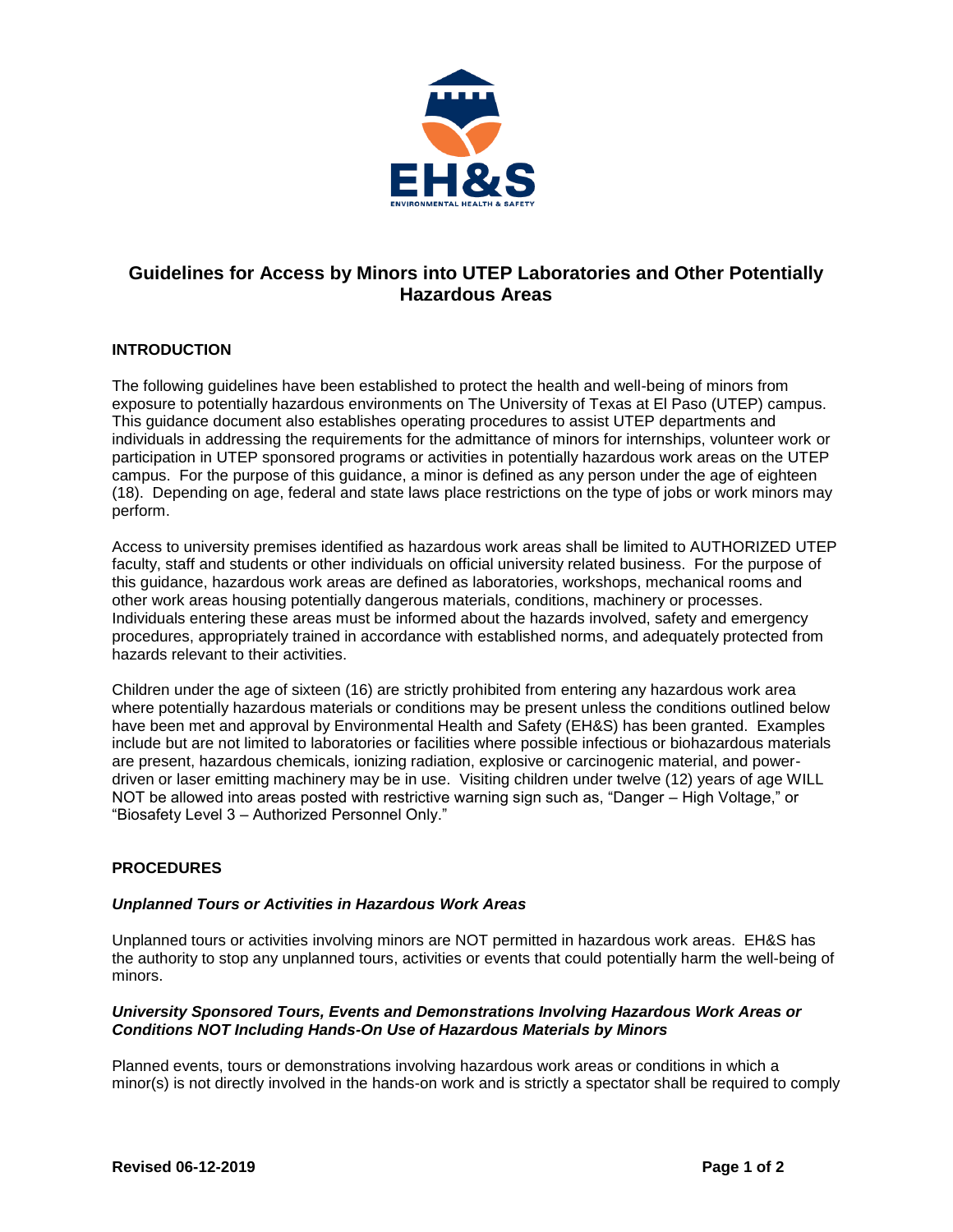

# **Guidelines for Access by Minors into UTEP Laboratories and Other Potentially Hazardous Areas**

## **INTRODUCTION**

The following guidelines have been established to protect the health and well-being of minors from exposure to potentially hazardous environments on The University of Texas at El Paso (UTEP) campus. This guidance document also establishes operating procedures to assist UTEP departments and individuals in addressing the requirements for the admittance of minors for internships, volunteer work or participation in UTEP sponsored programs or activities in potentially hazardous work areas on the UTEP campus. For the purpose of this guidance, a minor is defined as any person under the age of eighteen (18). Depending on age, federal and state laws place restrictions on the type of jobs or work minors may perform.

Access to university premises identified as hazardous work areas shall be limited to AUTHORIZED UTEP faculty, staff and students or other individuals on official university related business. For the purpose of this guidance, hazardous work areas are defined as laboratories, workshops, mechanical rooms and other work areas housing potentially dangerous materials, conditions, machinery or processes. Individuals entering these areas must be informed about the hazards involved, safety and emergency procedures, appropriately trained in accordance with established norms, and adequately protected from hazards relevant to their activities.

Children under the age of sixteen (16) are strictly prohibited from entering any hazardous work area where potentially hazardous materials or conditions may be present unless the conditions outlined below have been met and approval by Environmental Health and Safety (EH&S) has been granted. Examples include but are not limited to laboratories or facilities where possible infectious or biohazardous materials are present, hazardous chemicals, ionizing radiation, explosive or carcinogenic material, and powerdriven or laser emitting machinery may be in use. Visiting children under twelve (12) years of age WILL NOT be allowed into areas posted with restrictive warning sign such as, "Danger – High Voltage," or "Biosafety Level 3 – Authorized Personnel Only."

### **PROCEDURES**

#### *Unplanned Tours or Activities in Hazardous Work Areas*

Unplanned tours or activities involving minors are NOT permitted in hazardous work areas. EH&S has the authority to stop any unplanned tours, activities or events that could potentially harm the well-being of minors.

#### *University Sponsored Tours, Events and Demonstrations Involving Hazardous Work Areas or Conditions NOT Including Hands-On Use of Hazardous Materials by Minors*

Planned events, tours or demonstrations involving hazardous work areas or conditions in which a minor(s) is not directly involved in the hands-on work and is strictly a spectator shall be required to comply